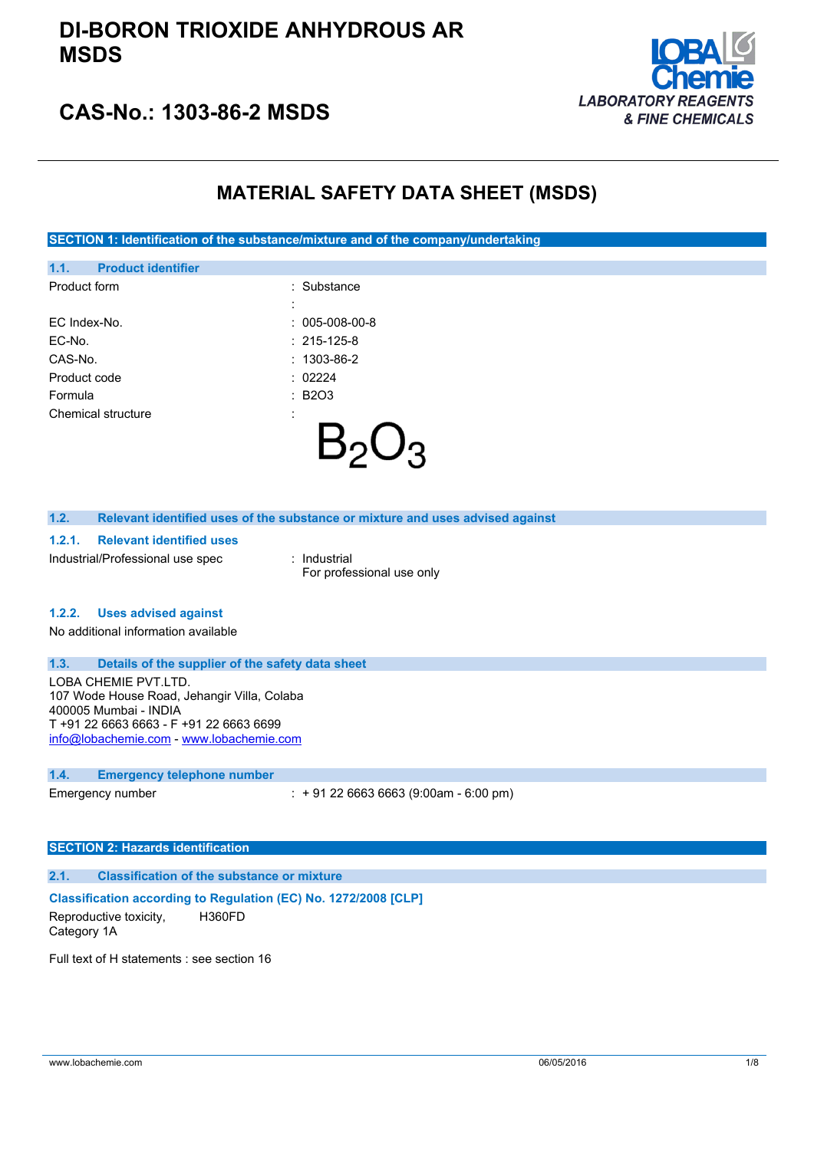## **DI-BORON TRIOXIDE ANHYDROUS AR MSDS**



## **CAS-No.: 1303-86-2 MSDS**

## **MATERIAL SAFETY DATA SHEET (MSDS)**

**SECTION 1: Identification of the substance/mixture and of the company/undertaking**

| 1.1.         | <b>Product identifier</b> |                   |
|--------------|---------------------------|-------------------|
| Product form |                           | : Substance       |
|              |                           | ٠<br>l.           |
| FC Index-No. |                           | $: 005-008-00-8$  |
| EC-No.       |                           | $: 215 - 125 - 8$ |
| CAS-No.      |                           | $: 1303 - 86 - 2$ |
| Product code |                           | : 02224           |
| Formula      |                           | <b>B2O3</b><br>÷. |
|              | Chemical structure        | :                 |
|              |                           |                   |
|              |                           |                   |

### **1.2. Relevant identified uses of the substance or mixture and uses advised against**

#### **1.2.1. Relevant identified uses**

Industrial/Professional use spec : Industrial

For professional use only

### **1.2.2. Uses advised against**

No additional information available

### **1.3. Details of the supplier of the safety data sheet**

LOBA CHEMIE PVT.LTD. 107 Wode House Road, Jehangir Villa, Colaba 400005 Mumbai - INDIA T +91 22 6663 6663 - F +91 22 6663 6699 [info@lobachemie.com](mailto:info@lobachemie.com) - <www.lobachemie.com>

#### **1.4. Emergency telephone number**

Emergency number : + 91 22 6663 6663 (9:00am - 6:00 pm)

### **SECTION 2: Hazards identification**

### **2.1. Classification of the substance or mixture**

## **Classification according to Regulation (EC) No. 1272/2008 [CLP]**

Reproductive toxicity, Category 1A H360FD

Full text of H statements : see section 16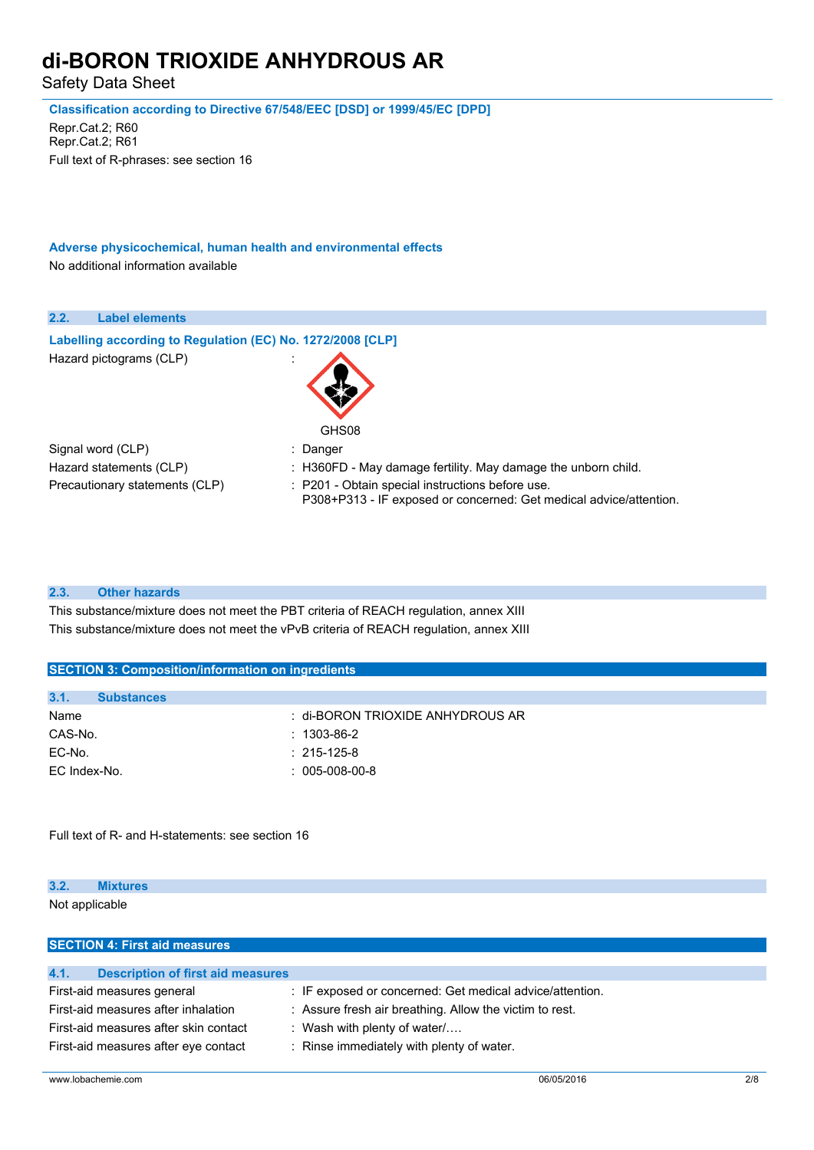Safety Data Sheet

**Classification according to Directive 67/548/EEC [DSD] or 1999/45/EC [DPD]**

Repr.Cat.2; R60 Repr.Cat.2; R61 Full text of R-phrases: see section 16

**Adverse physicochemical, human health and environmental effects** No additional information available

| 2.2.<br><b>Label elements</b>                              |                                                                                                                        |
|------------------------------------------------------------|------------------------------------------------------------------------------------------------------------------------|
| Labelling according to Regulation (EC) No. 1272/2008 [CLP] |                                                                                                                        |
| Hazard pictograms (CLP)                                    |                                                                                                                        |
|                                                            | GHS08                                                                                                                  |
| Signal word (CLP)                                          | : Danger                                                                                                               |
| Hazard statements (CLP)                                    | : H360FD - May damage fertility. May damage the unborn child.                                                          |
| Precautionary statements (CLP)                             | : P201 - Obtain special instructions before use.<br>P308+P313 - IF exposed or concerned: Get medical advice/attention. |

### **2.3. Other hazards**

This substance/mixture does not meet the PBT criteria of REACH regulation, annex XIII This substance/mixture does not meet the vPvB criteria of REACH regulation, annex XIII

| 3.1.<br><b>Substances</b> |                                  |
|---------------------------|----------------------------------|
| Name                      | ∶ di-BORON TRIOXIDE ANHYDROUS AR |
| CAS-No.                   | $: 1303 - 86 - 2$                |
| EC-No.                    | $: 215 - 125 - 8$                |
| EC Index-No.              | $: 005-008-00-8$                 |
|                           |                                  |

Full text of R- and H-statements: see section 16

# **3.2. Mixtures**

Not applicable

| <b>SECTION 4: First aid measures</b>             |                                                          |
|--------------------------------------------------|----------------------------------------------------------|
|                                                  |                                                          |
| 4.1.<br><b>Description of first aid measures</b> |                                                          |
| First-aid measures general                       | : IF exposed or concerned: Get medical advice/attention. |
| First-aid measures after inhalation              | : Assure fresh air breathing. Allow the victim to rest.  |
| First-aid measures after skin contact            | : Wash with plenty of water/                             |
| First-aid measures after eye contact             | : Rinse immediately with plenty of water.                |
|                                                  |                                                          |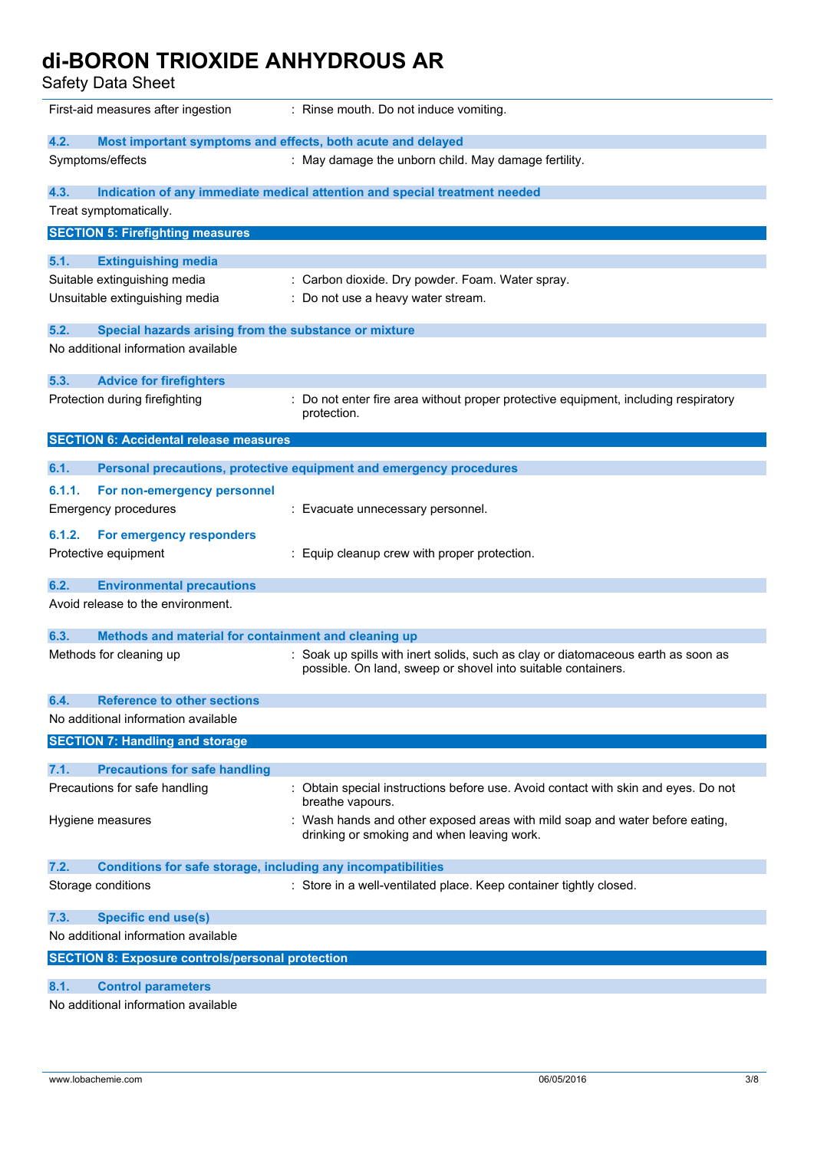Safety Data Sheet

| First-aid measures after ingestion                                   | : Rinse mouth. Do not induce vomiting.                                                                                                            |  |  |
|----------------------------------------------------------------------|---------------------------------------------------------------------------------------------------------------------------------------------------|--|--|
| 4.2.<br>Most important symptoms and effects, both acute and delayed  |                                                                                                                                                   |  |  |
| Symptoms/effects                                                     | : May damage the unborn child. May damage fertility.                                                                                              |  |  |
| 4.3.                                                                 | Indication of any immediate medical attention and special treatment needed                                                                        |  |  |
| Treat symptomatically.                                               |                                                                                                                                                   |  |  |
| <b>SECTION 5: Firefighting measures</b>                              |                                                                                                                                                   |  |  |
| <b>Extinguishing media</b><br>5.1.                                   |                                                                                                                                                   |  |  |
| Suitable extinguishing media                                         | : Carbon dioxide. Dry powder. Foam. Water spray.                                                                                                  |  |  |
| Unsuitable extinguishing media                                       | : Do not use a heavy water stream.                                                                                                                |  |  |
| 5.2.<br>Special hazards arising from the substance or mixture        |                                                                                                                                                   |  |  |
| No additional information available                                  |                                                                                                                                                   |  |  |
| 5.3.<br><b>Advice for firefighters</b>                               |                                                                                                                                                   |  |  |
| Protection during firefighting                                       | Do not enter fire area without proper protective equipment, including respiratory<br>protection.                                                  |  |  |
| <b>SECTION 6: Accidental release measures</b>                        |                                                                                                                                                   |  |  |
| 6.1.                                                                 | Personal precautions, protective equipment and emergency procedures                                                                               |  |  |
|                                                                      |                                                                                                                                                   |  |  |
| 6.1.1.<br>For non-emergency personnel                                |                                                                                                                                                   |  |  |
| <b>Emergency procedures</b>                                          | : Evacuate unnecessary personnel.                                                                                                                 |  |  |
| For emergency responders<br>6.1.2.                                   |                                                                                                                                                   |  |  |
| Protective equipment                                                 | Equip cleanup crew with proper protection.                                                                                                        |  |  |
| <b>Environmental precautions</b><br>6.2.                             |                                                                                                                                                   |  |  |
| Avoid release to the environment.                                    |                                                                                                                                                   |  |  |
| 6.3.<br>Methods and material for containment and cleaning up         |                                                                                                                                                   |  |  |
| Methods for cleaning up                                              | : Soak up spills with inert solids, such as clay or diatomaceous earth as soon as<br>possible. On land, sweep or shovel into suitable containers. |  |  |
| 6.4.<br><b>Reference to other sections</b>                           |                                                                                                                                                   |  |  |
| No additional information available                                  |                                                                                                                                                   |  |  |
| <b>SECTION 7: Handling and storage</b>                               |                                                                                                                                                   |  |  |
| 7.1.<br><b>Precautions for safe handling</b>                         |                                                                                                                                                   |  |  |
| Precautions for safe handling                                        | : Obtain special instructions before use. Avoid contact with skin and eyes. Do not<br>breathe vapours.                                            |  |  |
| Hygiene measures                                                     | Wash hands and other exposed areas with mild soap and water before eating,<br>drinking or smoking and when leaving work.                          |  |  |
| 7.2.<br>Conditions for safe storage, including any incompatibilities |                                                                                                                                                   |  |  |
| Storage conditions                                                   | : Store in a well-ventilated place. Keep container tightly closed.                                                                                |  |  |
| <b>Specific end use(s)</b><br>7.3.                                   |                                                                                                                                                   |  |  |
| No additional information available                                  |                                                                                                                                                   |  |  |
| <b>SECTION 8: Exposure controls/personal protection</b>              |                                                                                                                                                   |  |  |
| <b>Control parameters</b><br>8.1.                                    |                                                                                                                                                   |  |  |
| No additional information available                                  |                                                                                                                                                   |  |  |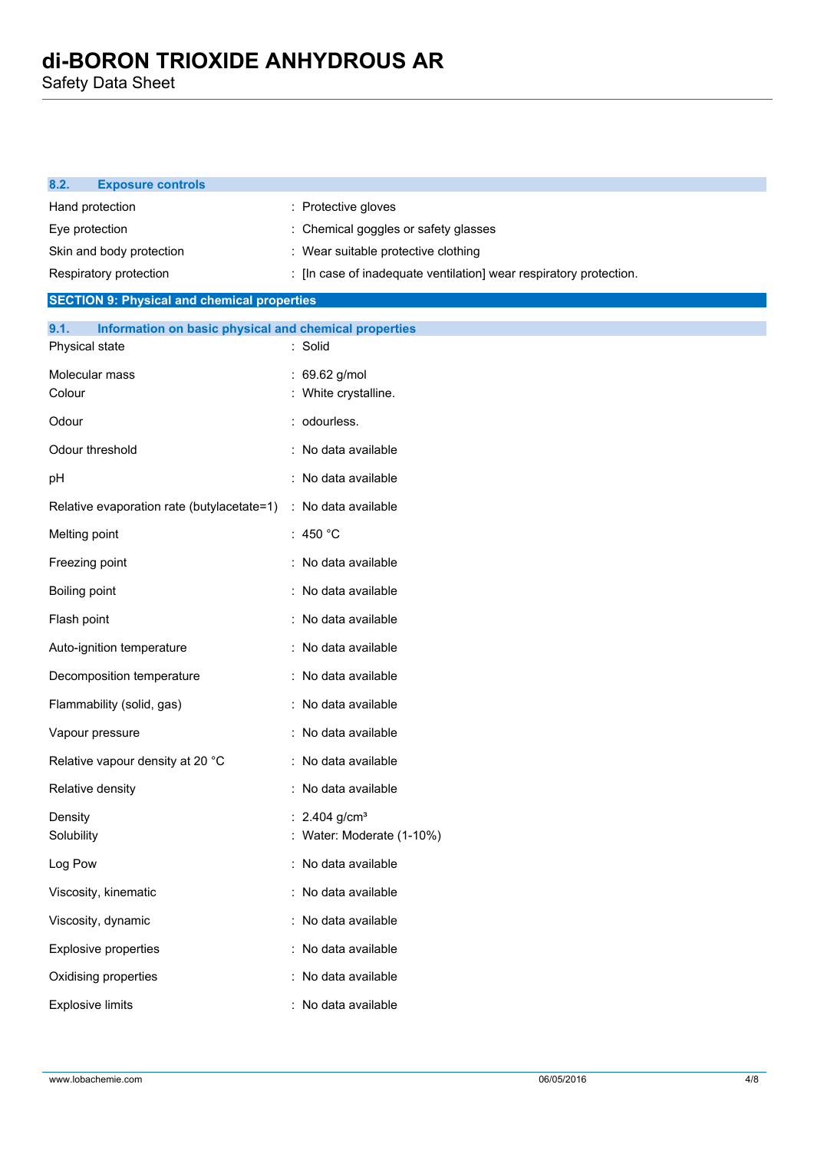Safety Data Sheet

| 8.2.<br><b>Exposure controls</b>                                                |                                                                    |
|---------------------------------------------------------------------------------|--------------------------------------------------------------------|
| Hand protection                                                                 | : Protective gloves                                                |
| Eye protection                                                                  | Chemical goggles or safety glasses                                 |
| Skin and body protection                                                        | : Wear suitable protective clothing                                |
| Respiratory protection                                                          | : [In case of inadequate ventilation] wear respiratory protection. |
| <b>SECTION 9: Physical and chemical properties</b>                              |                                                                    |
| 9.1.<br>Information on basic physical and chemical properties<br>Physical state | : Solid                                                            |
|                                                                                 |                                                                    |
| Molecular mass<br>Colour                                                        | 69.62 g/mol<br>White crystalline.                                  |
| Odour                                                                           | odourless.                                                         |
| Odour threshold                                                                 | : No data available                                                |
| pH                                                                              | No data available                                                  |
| Relative evaporation rate (butylacetate=1)                                      | : No data available                                                |
| Melting point                                                                   | : 450 $^{\circ}$ C                                                 |
| Freezing point                                                                  | : No data available                                                |
| Boiling point                                                                   | : No data available                                                |
| Flash point                                                                     | : No data available                                                |
| Auto-ignition temperature                                                       | : No data available                                                |
| Decomposition temperature                                                       | No data available                                                  |
| Flammability (solid, gas)                                                       | : No data available                                                |
| Vapour pressure                                                                 | No data available                                                  |
| Relative vapour density at 20 °C                                                | : No data available                                                |
| Relative density                                                                | : No data available                                                |
| Density<br>Solubility                                                           | : 2.404 $g/cm^{3}$<br>: Water: Moderate (1-10%)                    |
| Log Pow                                                                         | : No data available                                                |
| Viscosity, kinematic                                                            | : No data available                                                |
| Viscosity, dynamic                                                              | : No data available                                                |
| <b>Explosive properties</b>                                                     | : No data available                                                |
| Oxidising properties                                                            | : No data available                                                |
| <b>Explosive limits</b>                                                         | : No data available                                                |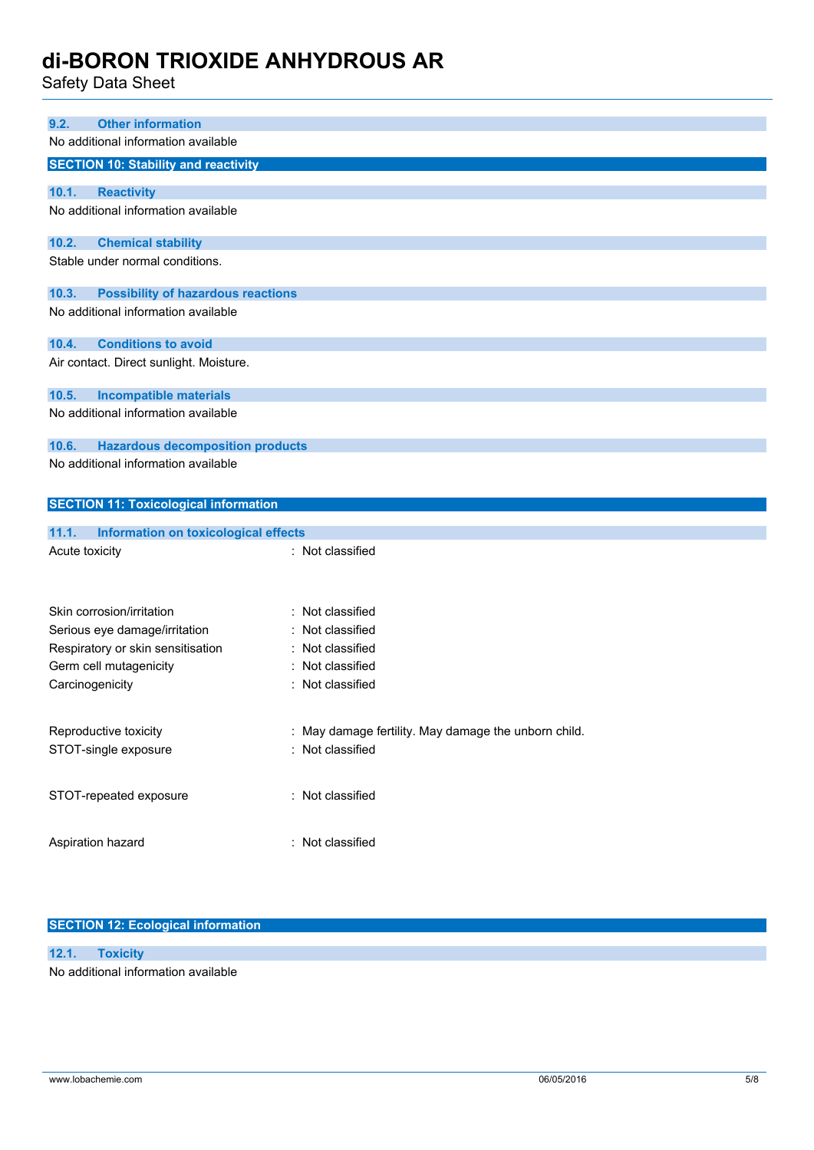Safety Data Sheet

| Udicty Data Uncet                                    |                                                    |
|------------------------------------------------------|----------------------------------------------------|
|                                                      |                                                    |
| <b>Other information</b><br>9.2.                     |                                                    |
| No additional information available                  |                                                    |
| <b>SECTION 10: Stability and reactivity</b>          |                                                    |
|                                                      |                                                    |
| 10.1.<br><b>Reactivity</b>                           |                                                    |
| No additional information available                  |                                                    |
| 10.2.<br><b>Chemical stability</b>                   |                                                    |
| Stable under normal conditions.                      |                                                    |
| 10.3.<br><b>Possibility of hazardous reactions</b>   |                                                    |
| No additional information available                  |                                                    |
| <b>Conditions to avoid</b><br>10.4.                  |                                                    |
| Air contact. Direct sunlight. Moisture.              |                                                    |
| 10.5.<br><b>Incompatible materials</b>               |                                                    |
| No additional information available                  |                                                    |
| 10.6.<br><b>Hazardous decomposition products</b>     |                                                    |
| No additional information available                  |                                                    |
|                                                      |                                                    |
| <b>SECTION 11: Toxicological information</b>         |                                                    |
|                                                      |                                                    |
| 11.1.<br><b>Information on toxicological effects</b> |                                                    |
| Acute toxicity                                       | : Not classified                                   |
|                                                      |                                                    |
|                                                      |                                                    |
| Skin corrosion/irritation                            | : Not classified                                   |
| Serious eye damage/irritation                        | Not classified                                     |
| Respiratory or skin sensitisation                    | Not classified                                     |
| Germ cell mutagenicity                               | Not classified                                     |
| Carcinogenicity                                      | : Not classified                                   |
|                                                      |                                                    |
| Reproductive toxicity                                | May damage fertility. May damage the unborn child. |
| STOT-single exposure                                 | Not classified                                     |
|                                                      |                                                    |

No additional information available

**SECTION 12: Ecological information**

STOT-repeated exposure : Not classified

Aspiration hazard **in the set of the Casacase** : Not classified

**12.1. Toxicity**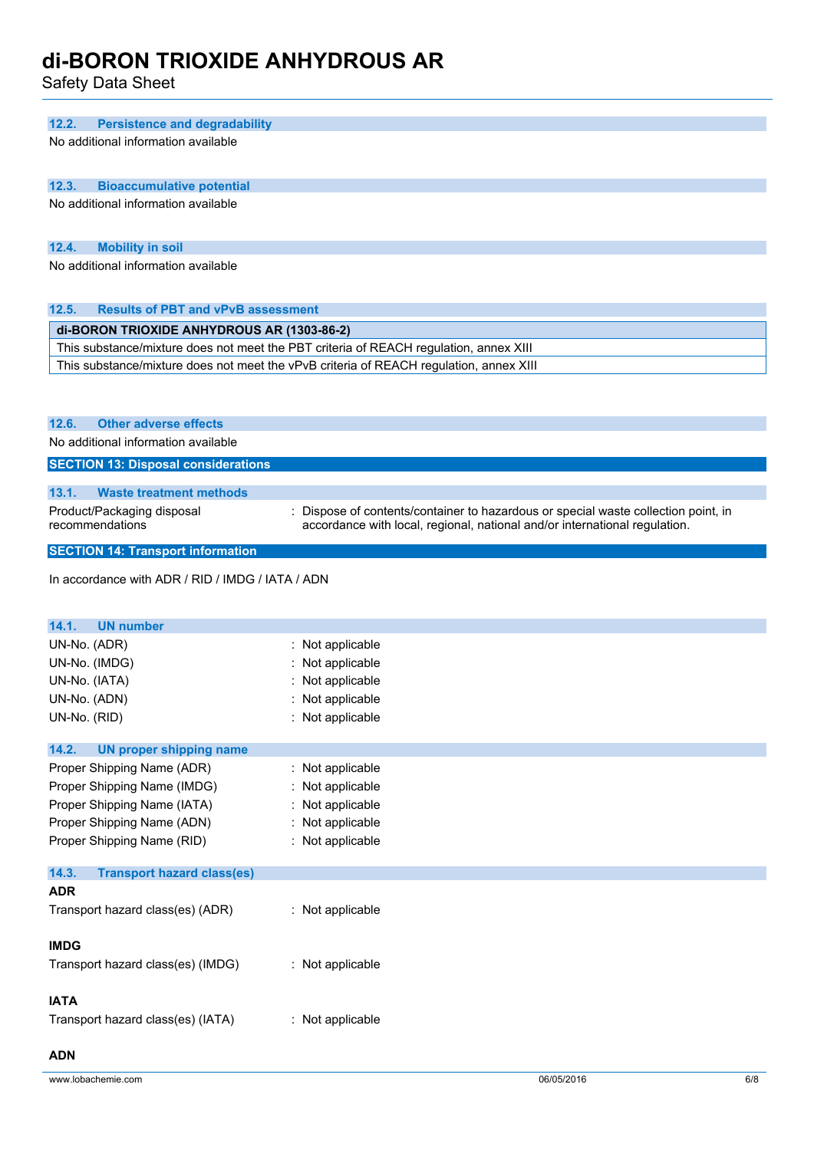Safety Data Sheet

### **12.2. Persistence and degradability**

No additional information available

### **12.3. Bioaccumulative potential**

No additional information available

### **12.4. Mobility in soil**

No additional information available

## **12.5. Results of PBT and vPvB assessment di-BORON TRIOXIDE ANHYDROUS AR (1303-86-2)** This substance/mixture does not meet the PBT criteria of REACH regulation, annex XIII This substance/mixture does not meet the vPvB criteria of REACH regulation, annex XIII

### **12.6. Other adverse effects**

No additional information available

### **SECTION 13: Disposal considerations**

| <b>Waste treatment methods</b> | 13.1. |  |  |  |
|--------------------------------|-------|--|--|--|
|--------------------------------|-------|--|--|--|

- Product/Packaging disposal recommendations
- : Dispose of contents/container to hazardous or special waste collection point, in accordance with local, regional, national and/or international regulation.

### **SECTION 14: Transport information**

In accordance with ADR / RID / IMDG / IATA / ADN

| 14.1.<br><b>UN number</b>                  |                  |  |  |
|--------------------------------------------|------------------|--|--|
| UN-No. (ADR)                               | : Not applicable |  |  |
| UN-No. (IMDG)                              | Not applicable   |  |  |
| UN-No. (IATA)                              | : Not applicable |  |  |
| UN-No. (ADN)                               | : Not applicable |  |  |
| UN-No. (RID)                               | : Not applicable |  |  |
| 14.2.<br><b>UN proper shipping name</b>    |                  |  |  |
| Proper Shipping Name (ADR)                 | : Not applicable |  |  |
| Proper Shipping Name (IMDG)                | : Not applicable |  |  |
| Proper Shipping Name (IATA)                | : Not applicable |  |  |
| Proper Shipping Name (ADN)                 | : Not applicable |  |  |
| Proper Shipping Name (RID)                 | : Not applicable |  |  |
| 14.3.<br><b>Transport hazard class(es)</b> |                  |  |  |
| <b>ADR</b>                                 |                  |  |  |
| Transport hazard class(es) (ADR)           | : Not applicable |  |  |
| <b>IMDG</b>                                |                  |  |  |
| Transport hazard class(es) (IMDG)          | : Not applicable |  |  |
| <b>IATA</b>                                |                  |  |  |
| Transport hazard class(es) (IATA)          | : Not applicable |  |  |
| <b>ADN</b>                                 |                  |  |  |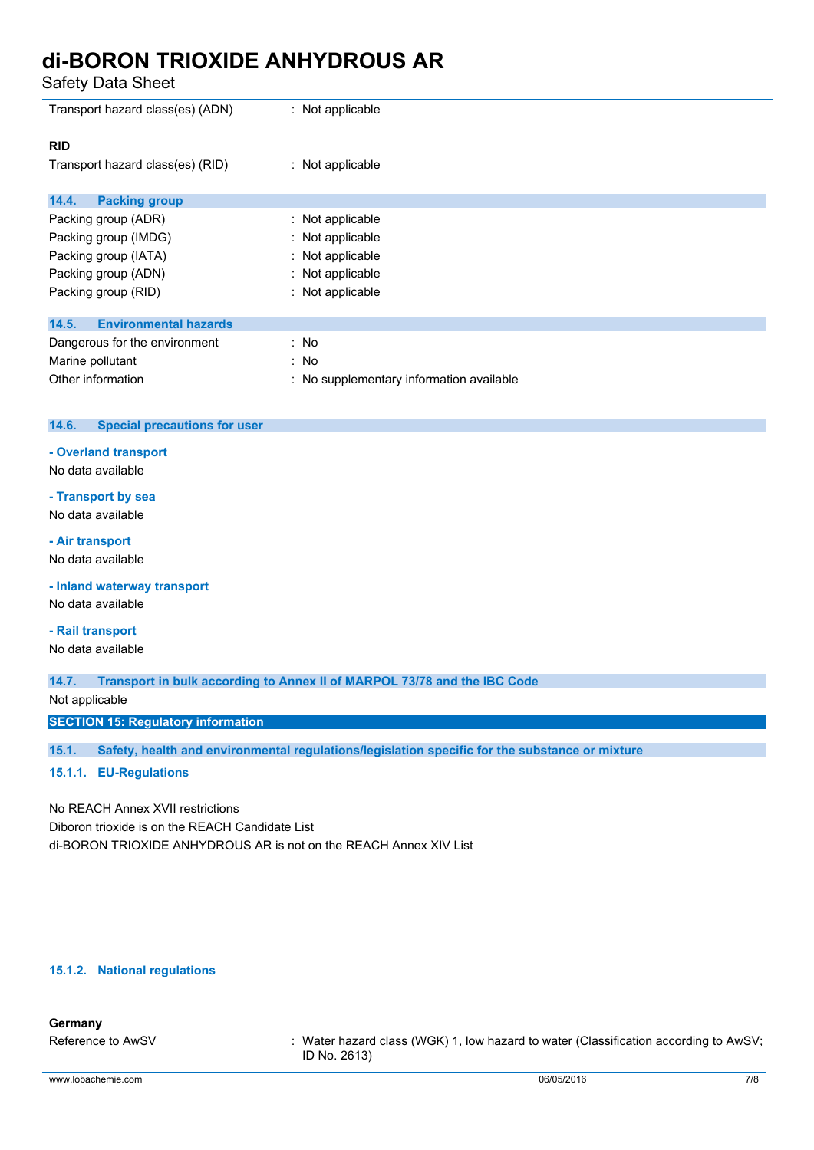Safety Data Sheet

| Transport hazard class(es) (ADN)      | : Not applicable                         |
|---------------------------------------|------------------------------------------|
| <b>RID</b>                            |                                          |
| Transport hazard class(es) (RID)      | : Not applicable                         |
|                                       |                                          |
| <b>Packing group</b><br>14.4.         |                                          |
| Packing group (ADR)                   | : Not applicable                         |
| Packing group (IMDG)                  | : Not applicable                         |
| Packing group (IATA)                  | : Not applicable                         |
| Packing group (ADN)                   | : Not applicable                         |
| Packing group (RID)                   | : Not applicable                         |
|                                       |                                          |
| <b>Environmental hazards</b><br>14.5. |                                          |
| Dangerous for the environment         | : No                                     |
| Marine pollutant                      | : No                                     |
| Other information                     | : No supplementary information available |

### **14.6. Special precautions for user**

### **- Overland transport**

No data available

## **- Transport by sea**

No data available

### **- Air transport**

No data available

**- Inland waterway transport**

No data available

### **- Rail transport**

No data available

**14.7. Transport in bulk according to Annex II of MARPOL 73/78 and the IBC Code**

Not applicable

**SECTION 15: Regulatory information**

**15.1. Safety, health and environmental regulations/legislation specific for the substance or mixture**

### **15.1.1. EU-Regulations**

No REACH Annex XVII restrictions Diboron trioxide is on the REACH Candidate List di-BORON TRIOXIDE ANHYDROUS AR is not on the REACH Annex XIV List

### **15.1.2. National regulations**

### **Germany**

Reference to AwSV : Water hazard class (WGK) 1, low hazard to water (Classification according to AwSV; ID No. 2613)